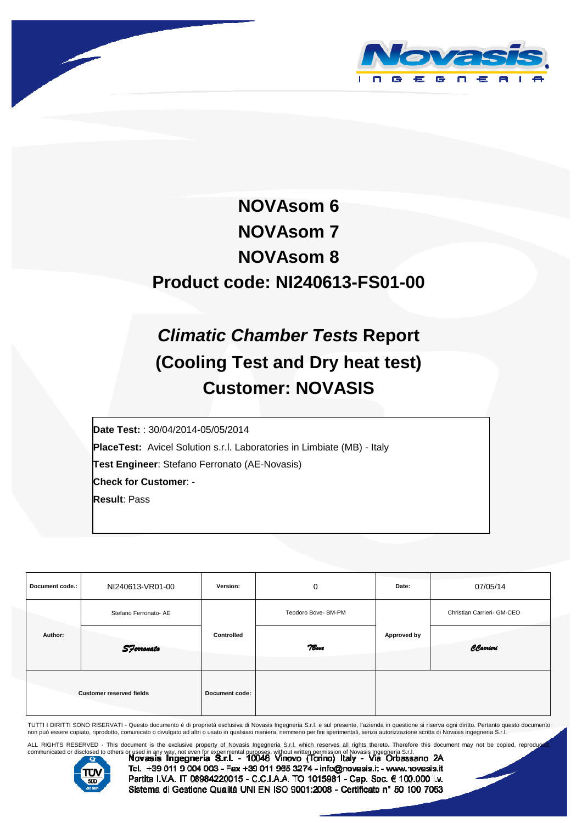



# **NOVAsom 6 NOVAsom 7 NOVAsom 8 Product code: NI240613-FS01-00**

# **Climatic Chamber Tests Report (Cooling Test and Dry heat test) Customer: NOVASIS**

 **Date Test:** : 30/04/2014-05/05/2014 **PlaceTest:** Avicel Solution s.r.l. Laboratories in Limbiate (MB) - Italy **Test Engineer**: Stefano Ferronato (AE-Novasis) **Check for Customer**: - **Result**: Pass

| Document code.:                 | NI240613-VR01-00      | Version:       | 0                   | Date:       | 07/05/14                   |  |
|---------------------------------|-----------------------|----------------|---------------------|-------------|----------------------------|--|
|                                 | Stefano Ferronato- AE |                | Teodoro Bove- BM-PM |             | Christian Carrieri- GM-CEO |  |
| Author:                         | <b>S</b> Ferronato    | Controlled     | 7Bove               | Approved by | CCarrieri                  |  |
| <b>Customer reserved fields</b> |                       | Document code: |                     |             |                            |  |

TUTTI I DIRITTI SONO RISERVATI - Questo documento é di proprietá esclusiva di Novasis Ingegneria S.r.l. e sul presente, l'azienda in questione si riserva ogni diritto. Pertanto questo documento<br>non può essere copiato, ripr

ALL RIGHTS RESERVED - This document is the exclusive property of Novasis Ingegneria S.r.l. which reserves all rights thereto. Therefore this document may not be copied, reproduced,<br>communicated or disclosed to others or us



Tel. +39 011 9 004 003 - Fax +39 011 965 3274 - info@novasis.it - www.novasis.it Partita I.V.A. IT 08984220015 - C.C.I.A.A. TO 1015981 - Cap. Soc. € 100.000 i.v. Sistema di Gesticne Qualità UNI EN ISO 9001:2008 - Certificato nº 50 100 7053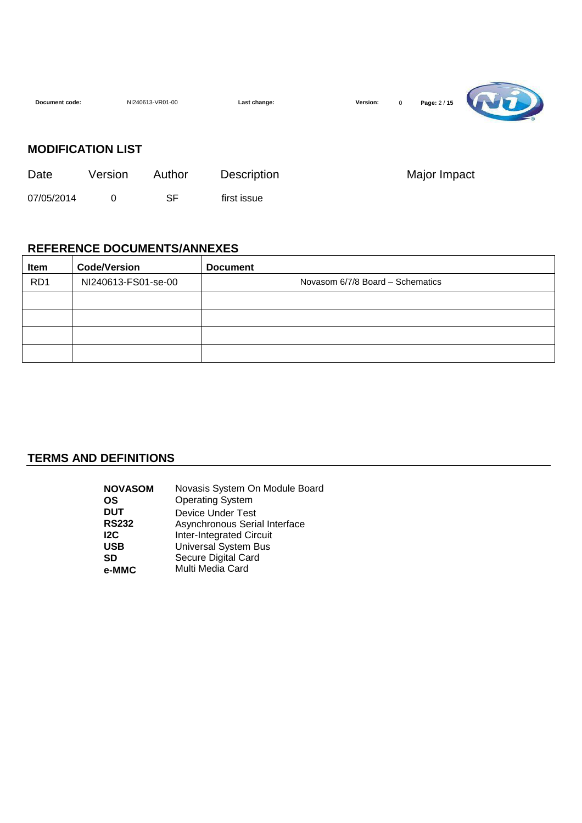| Document code: | NI240613-VR01-00         |        | Last change: | Page: 2 / 15<br>Version:<br>$\mathbf 0$ |  |
|----------------|--------------------------|--------|--------------|-----------------------------------------|--|
|                | <b>MODIFICATION LIST</b> |        |              |                                         |  |
| Date           | Version                  | Author | Description  | Major Impact                            |  |
| 07/05/2014     | 0                        | SF     | first issue  |                                         |  |

 $\overline{\phantom{0}}$ 

#### **REFERENCE DOCUMENTS/ANNEXES**

| <b>Item</b>     | <b>Code/Version</b> | <b>Document</b>                  |
|-----------------|---------------------|----------------------------------|
| RD <sub>1</sub> | NI240613-FS01-se-00 | Novasom 6/7/8 Board - Schematics |
|                 |                     |                                  |
|                 |                     |                                  |
|                 |                     |                                  |
|                 |                     |                                  |

## **TERMS AND DEFINITIONS**

| <b>NOVASOM</b> | Novasis System On Module Board  |
|----------------|---------------------------------|
| <b>OS</b>      | <b>Operating System</b>         |
| <b>DUT</b>     | Device Under Test               |
| <b>RS232</b>   | Asynchronous Serial Interface   |
| 12C            | <b>Inter-Integrated Circuit</b> |
| <b>USB</b>     | <b>Universal System Bus</b>     |
| SD             | Secure Digital Card             |
| e-MMC          | Multi Media Card                |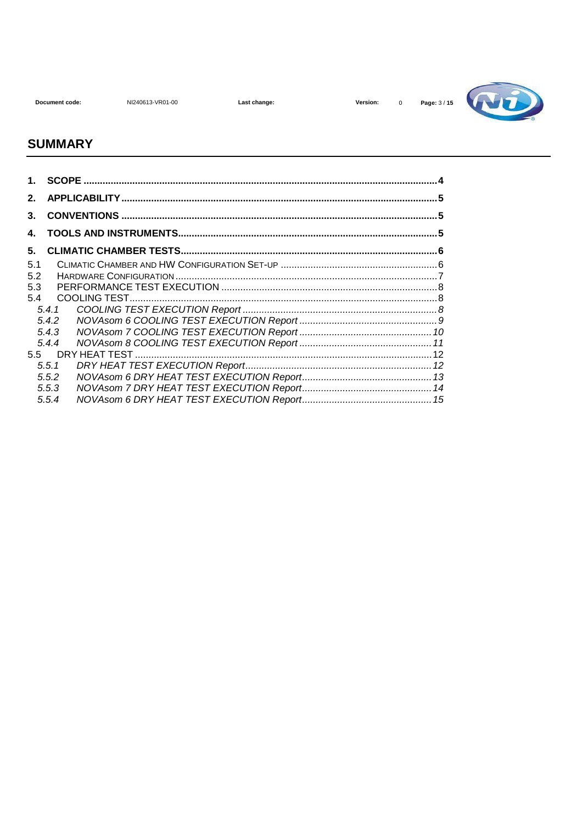NI240613-VR01-00

Last change:



#### **SUMMARY**

| 2.  |       |  |
|-----|-------|--|
| 3.  |       |  |
| 4.  |       |  |
| 5.  |       |  |
| 5.1 |       |  |
| 5.2 |       |  |
| 5.3 |       |  |
| 5.4 |       |  |
|     |       |  |
|     | 5.4.2 |  |
|     | 5.4.3 |  |
|     | 5.4.4 |  |
|     |       |  |
|     | 5.5.1 |  |
|     | 5.5.2 |  |
|     | 5.5.3 |  |
|     | 5.5.4 |  |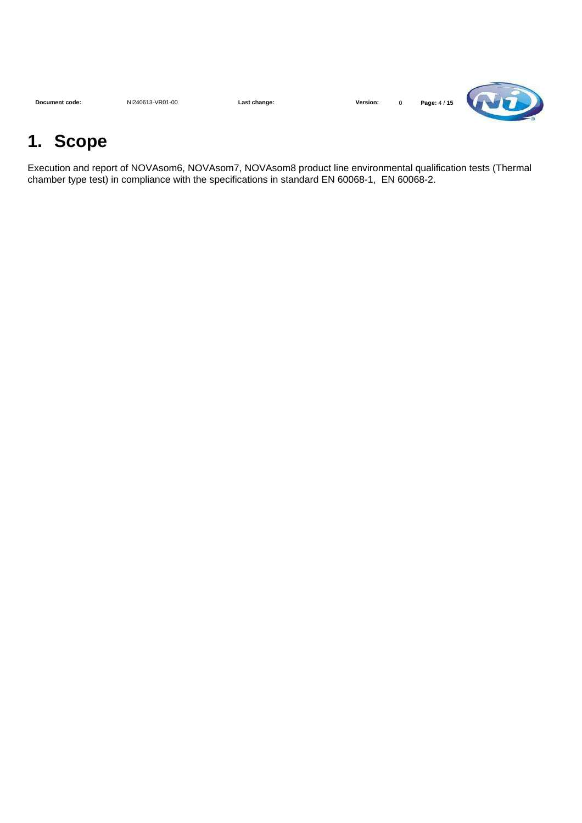| Document code: | NI240613-VR01-00 | Last change: | Version: |  | Page: 4 / 15 | <b>TABLE</b> |
|----------------|------------------|--------------|----------|--|--------------|--------------|
|----------------|------------------|--------------|----------|--|--------------|--------------|

# **1. Scope**

Execution and report of NOVAsom6, NOVAsom7, NOVAsom8 product line environmental qualification tests (Thermal chamber type test) in compliance with the specifications in standard EN 60068-1, EN 60068-2.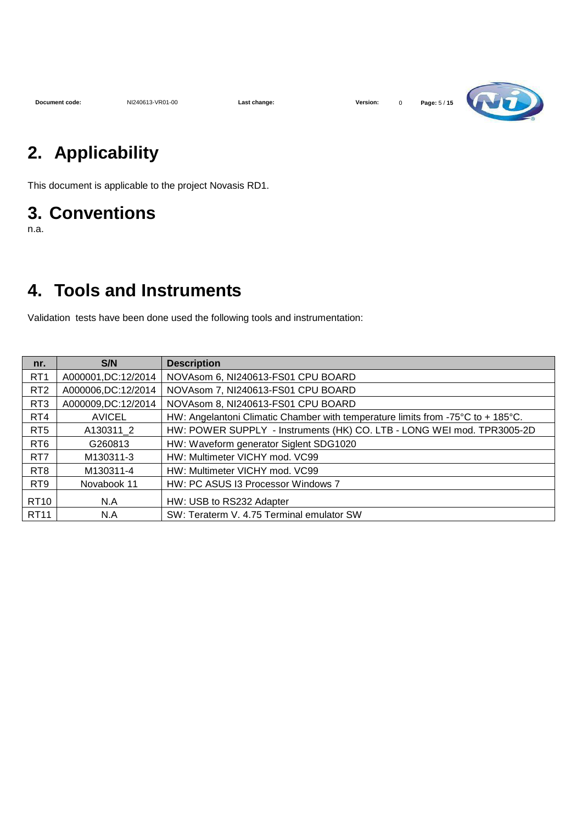

## **2. Applicability**

This document is applicable to the project Novasis RD1.

## **3. Conventions**

n.a.

## **4. Tools and Instruments**

Validation tests have been done used the following tools and instrumentation:

| nr.              | S/N                  | <b>Description</b>                                                              |
|------------------|----------------------|---------------------------------------------------------------------------------|
| RT <sub>1</sub>  | A000001, DC: 12/2014 | NOVAsom 6, NI240613-FS01 CPU BOARD                                              |
| RT <sub>2</sub>  | A000006,DC:12/2014   | NOVAsom 7, NI240613-FS01 CPU BOARD                                              |
| RT3              | A000009,DC:12/2014   | NOVAsom 8, NI240613-FS01 CPU BOARD                                              |
| RT4              | <b>AVICEL</b>        | HW: Angelantoni Climatic Chamber with temperature limits from -75°C to + 185°C. |
| RT <sub>5</sub>  | A130311 2            | HW: POWER SUPPLY - Instruments (HK) CO. LTB - LONG WEI mod. TPR3005-2D          |
| RT <sub>6</sub>  | G260813              | HW: Waveform generator Siglent SDG1020                                          |
| RT <sub>7</sub>  | M130311-3            | HW: Multimeter VICHY mod. VC99                                                  |
| RT <sub>8</sub>  | M130311-4            | HW: Multimeter VICHY mod. VC99                                                  |
| RT9              | Novabook 11          | HW: PC ASUS I3 Processor Windows 7                                              |
| RT <sub>10</sub> | N.A                  | HW: USB to RS232 Adapter                                                        |
| <b>RT11</b>      | N.A                  | SW: Teraterm V. 4.75 Terminal emulator SW                                       |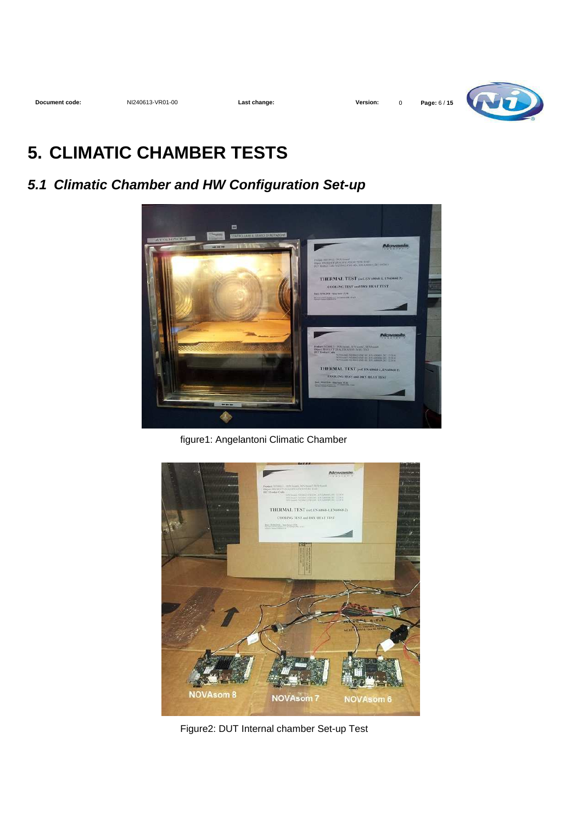

## **5. CLIMATIC CHAMBER TESTS**

## **5.1 Climatic Chamber and HW Configuration Set-up**



figure1: Angelantoni Climatic Chamber



Figure2: DUT Internal chamber Set-up Test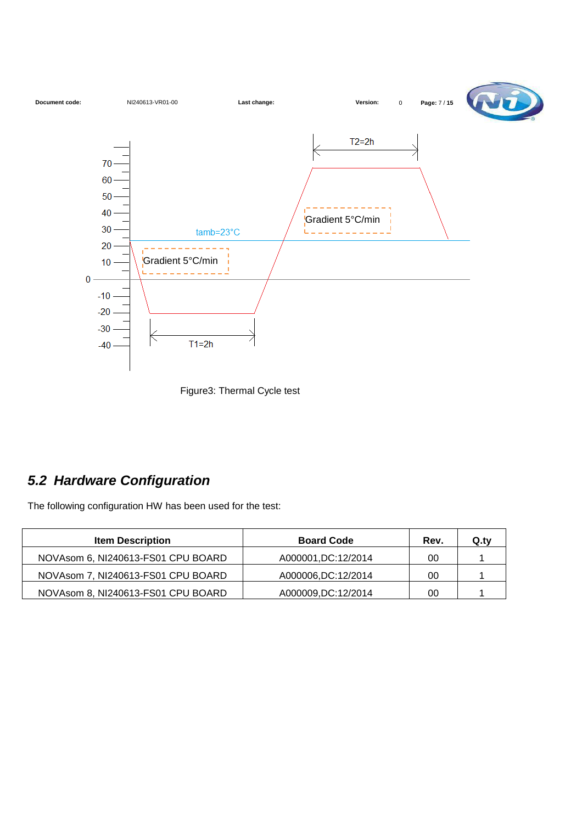

Figure3: Thermal Cycle test

## **5.2 Hardware Configuration**

The following configuration HW has been used for the test:

| <b>Item Description</b>            | <b>Board Code</b>    | Rev. | Q.tv |
|------------------------------------|----------------------|------|------|
| NOVAsom 6, NI240613-FS01 CPU BOARD | A000001, DC: 12/2014 | 00   |      |
| NOVAsom 7, NI240613-FS01 CPU BOARD | A000006,DC:12/2014   | 00   |      |
| NOVAsom 8, NI240613-FS01 CPU BOARD | A000009, DC: 12/2014 | 00   |      |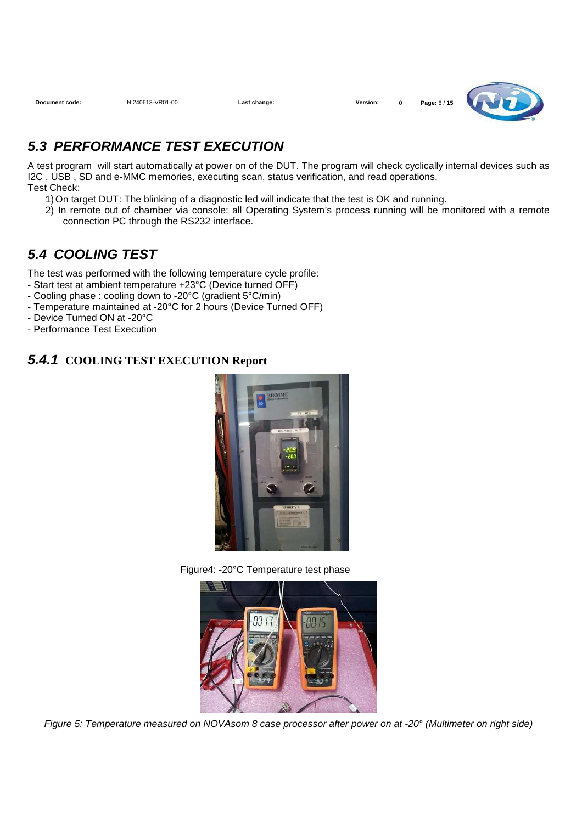**Document code:** NI240613-VR01-00 **Last change: Version:** 0 **Page:** 8 / **15**



## **5.3 PERFORMANCE TEST EXECUTION**

A test program will start automatically at power on of the DUT. The program will check cyclically internal devices such as I2C , USB , SD and e-MMC memories, executing scan, status verification, and read operations. Test Check:

- 1) On target DUT: The blinking of a diagnostic led will indicate that the test is OK and running.
- 2) In remote out of chamber via console: all Operating System's process running will be monitored with a remote connection PC through the RS232 interface.

## **5.4 COOLING TEST**

The test was performed with the following temperature cycle profile:

- Start test at ambient temperature +23°C (Device turned OFF)
- Cooling phase : cooling down to -20°C (gradient 5°C/min)
- Temperature maintained at -20°C for 2 hours (Device Turned OFF)
- Device Turned ON at -20°C
- Performance Test Execution

#### **5.4.1 COOLING TEST EXECUTION Report**







Figure 5: Temperature measured on NOVAsom 8 case processor after power on at -20° (Multimeter on right side)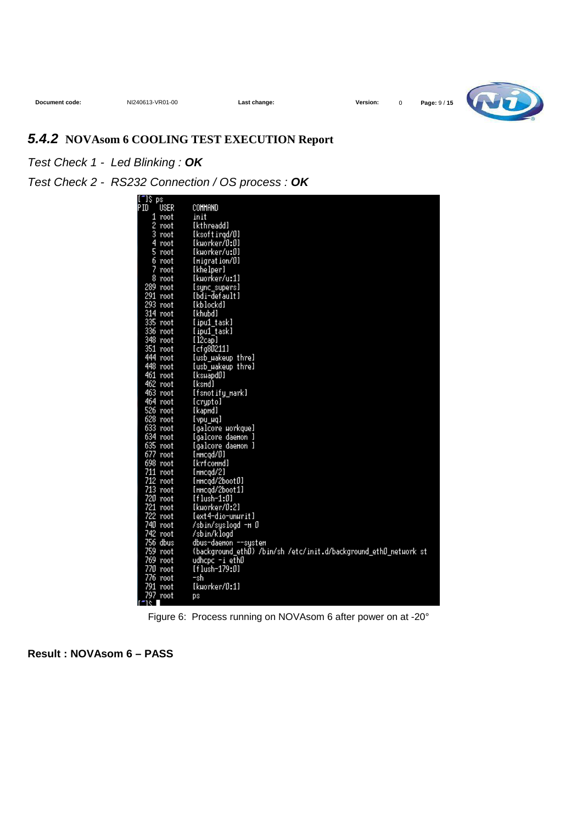

## **5.4.2 NOVAsom 6 COOLING TEST EXECUTION Report**

#### Test Check 1 - Led Blinking : **OK**

Test Check 2 - RS232 Connection / OS process : **OK**

| "I\$ ps |             |                                                                  |
|---------|-------------|------------------------------------------------------------------|
| Ξ       | <b>USER</b> | COMMAND                                                          |
|         | 1 root      | init                                                             |
|         | 2 root      | [kthreadd]                                                       |
|         | 3 root      | [ksoftirgd/0]                                                    |
|         | 4 root      | [kµorker/0:0]                                                    |
|         | 5 root      | [kµorker/u:0]                                                    |
|         | 6 root      | [Higration/0]                                                    |
|         | 7 root      | [khelper]                                                        |
|         | 8 root      | [kµorker/u:1]                                                    |
|         | 289 root    | [sync_supers]                                                    |
|         | 291 root    | [bdi-default]                                                    |
|         | 293 root    | [kblockd]                                                        |
|         | 314 root    | [khubd]                                                          |
|         | 335 root    | [ipu1 task]                                                      |
|         | 336 root    | [ipu1_task]                                                      |
|         | 348 root    | [12cap]                                                          |
|         | 351 root    | [cfg80211]                                                       |
|         | 444 root    | [usb_uakeup_thre]                                                |
|         | 448 root    | [usb_µakeup_thre]                                                |
|         | 461 root    | [ksµapdD]                                                        |
|         | 462 root    | [ksmd]                                                           |
|         | 463 root    | [fsnotify_nark]                                                  |
|         | 464 root    | [crypto]                                                         |
|         | 526 root    | [kapnd]                                                          |
|         | 628 root    | [vpu µq]                                                         |
|         | 633 root    | [galcore workque]                                                |
|         | 634 root    | [galcore daemon ]                                                |
|         | 635 root    | [galcore daemon ]                                                |
|         | 677 root    | $[$ nncgd/ $[0]$                                                 |
|         | 698 root    | [krfconnd]                                                       |
|         | 711 root    | $[$ HHcqd $/2]$                                                  |
|         | 712 root    | [HHcqd/2boot0]                                                   |
|         | 713 root    | [HHcqd/2boot1]                                                   |
|         | 720 root    | [flush-1:0]                                                      |
|         | 721 root    | [kµorker/0:2]                                                    |
|         | 722 root    | [ext4-dio-unurit]                                                |
|         | 740 root    | /sbin/syslogd -m O                                               |
|         | 742 root    | /sbin/klogd                                                      |
|         | 756 dbus    | dbus-daemon --system                                             |
|         | 759 root    | {background_ethD} /bin/sh /etc/init.d/background_ethD_network st |
|         | 769 root    | udhcpc −i ethD                                                   |
|         | 770 root    | [flush-179:0]                                                    |
|         | 776 root    | -sh                                                              |
|         | 791 root    | [kµorker/0:1]                                                    |
|         | 797 root    | DS                                                               |

Figure 6: Process running on NOVAsom 6 after power on at -20°

**Result : NOVAsom 6 – PASS**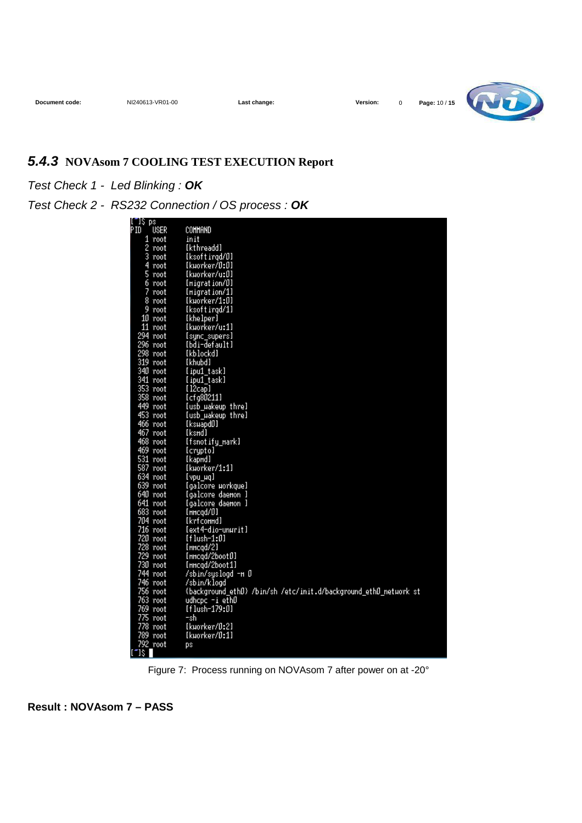

## **5.4.3 NOVAsom 7 COOLING TEST EXECUTION Report**

#### Test Check 1 - Led Blinking : **OK**

#### Test Check 2 - RS232 Connection / OS process : **OK**

| [‴]\$ ps       |            |                                                                  |
|----------------|------------|------------------------------------------------------------------|
| PID            | USER       | COMMAND                                                          |
|                | 1 root     | init                                                             |
|                | 2 root     | [kthreadd]                                                       |
|                | 3 root     | [ksoftirgd/0]                                                    |
| 4              | root       | [kµorker/0:0]                                                    |
|                | 5 root     | [kworker/u:0]                                                    |
|                | 6 root     | [Higration/0]                                                    |
|                | 7 root     | [Higration/1]                                                    |
|                | 8 root     | [kuorker/1:0]                                                    |
|                | 9 root     | [ksoftirgd/1]                                                    |
|                | 10 root    | [khelper]                                                        |
|                | 11 root    | [kuorker/u:1]                                                    |
|                | 294 root   | [sync_supers]                                                    |
|                | 296 root   | [bdi-default]                                                    |
|                | 298 root   | [kblockd]                                                        |
|                | 319 root   | [khubd]                                                          |
|                | 340 root   | [ipu1 task]                                                      |
|                | 341 root   | [ipu1_task]                                                      |
|                | 353 root   | [12cap]                                                          |
|                | 358 root   | [cfg80211]                                                       |
|                | 449 root   | [usb_µakeup_thre]                                                |
|                | 453 root   | [usb_µakeup_thre]                                                |
|                | 466 root   | [kswapd0]                                                        |
|                | 467 root   | [ksmd]                                                           |
|                | 468 root   | [fsnotify_nark]                                                  |
|                | 469 root   | [crypto]                                                         |
|                | 531 root   | [kapnd]                                                          |
|                | 587 root   | [kuorker/1:1]                                                    |
|                | 634 root   | [ vpu_uq ]                                                       |
|                | 639 root   | [galcore_uorkque]                                                |
|                | 640 root   | [galcore daemon ]                                                |
|                | 641 root   | [galcore daemon ]                                                |
|                | 683 root   | [HHcqd/0]                                                        |
|                | 704 root   | [krfconnd]                                                       |
|                | $716$ root | [ext4-dio-unurit]                                                |
|                | 720 root   | $[flush-1:0]$                                                    |
|                | 728 root   | [HHcqd/2]                                                        |
|                | 729 root   | [HHcqd/2boot0]                                                   |
|                | 730 root   | [HHcqd/2boot1]                                                   |
|                | 744 root   | /sbin/syslogd -m O                                               |
|                | 746 root   | /sbin/klogd                                                      |
|                | 756 root   | {background_ethD} /bin/sh /etc/init.d/background_ethD_netuork st |
|                | 763 root   | udhcpc -i ethD                                                   |
|                | 769 root   | [flush-179:0]                                                    |
|                | 775 root   | -shi                                                             |
|                | 778 root   | [kuorker/0:2]                                                    |
|                | 789 root   | [kuorker/0:1]                                                    |
|                | 792 root   | DS.                                                              |
| $\mathbb{R}^n$ |            |                                                                  |

Figure 7: Process running on NOVAsom 7 after power on at -20°

**Result : NOVAsom 7 – PASS**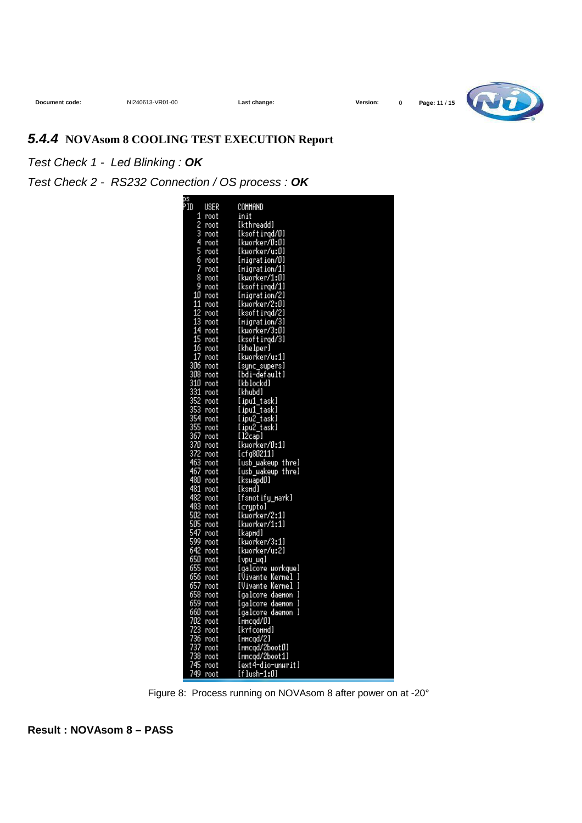

## **5.4.4 NOVAsom 8 COOLING TEST EXECUTION Report**

Test Check 1 - Led Blinking : **OK**

Test Check 2 - RS232 Connection / OS process : **OK**

| ps<br>PID |          |                             |
|-----------|----------|-----------------------------|
|           | USER     | COMMAND                     |
| 1         | root     | init                        |
| 2         | root     | [kthreadd]                  |
| 3         | root     | [ksoftirgd/0]               |
| 4         | root     | [kµorker/0:0]               |
| 5         | root     | [kµorker/u:0]               |
| 6         | root     | [Higration/0]               |
| 7         | root     | [Higration/1]               |
| 8         | root     | [kuorker/1:0]               |
|           | 9 root   | [ksoftirgd/1]               |
|           | 10 root  | [Higration/2]               |
| 11        | root     | [kuorker/2:0]               |
|           | 12 root  | [ksoftirgd/2]               |
|           | 13 root  | [Higration/3]               |
|           | 14 root  | [kµorker/3:0]               |
|           | 15 root  | [ksoftirgd/3]               |
|           | 16 root  | [khelper]                   |
|           | 17 root  | [kuorker/u:1]               |
|           | 306 root | [sync_supers]               |
|           | 308 root | [bdi-default]               |
|           | 310 root | [kblockd]                   |
|           | 331 root | [khubd]                     |
|           | 352 root | [ipu1_task]                 |
|           | 353 root | [ipu1 task]                 |
|           | 354 root | [ipu2_task]                 |
|           | 355 root | [ipu2_task]                 |
|           | 367 root | [l2cao]                     |
|           | 370 root | [kuorker/0:1]               |
|           | 372 root | [cfg80211]                  |
|           | 463 root | (usb wakeup thre)           |
|           | 467 root | (usb wakeup thre)           |
|           | 480 root | [ksuapdD]                   |
|           | 481 root | [ksmd]                      |
|           | 482 root | [fsnotify mark]             |
|           | 483 root |                             |
|           | 502 root | [crypto]<br>[kuorker/2:1]   |
|           | 505 root |                             |
|           |          | [kµorker/1:1]               |
|           | 547 root | [kapnd]                     |
|           | 599 root | [kµorker/3:1]               |
|           | 642 root | [kuorker/u:2]               |
|           | 650 root | [vpu_uq]                    |
|           | 655 root | <u>[galcore_uorkque]</u>    |
|           | 656 root | <u>[Vivante Kerne]</u><br>ŋ |
|           | 657 root | ı<br>[Vivante Kerne]        |
|           | 658 root | [galcore daemon             |
|           | 659 root | 1<br>[galcore daemon        |
|           | 660 root | [galcore daemon<br>1        |
|           | 702 root | [nncqd/0]                   |
|           | 723 root | [krfconnd]                  |
|           | 736 root | [HHcqd/2]                   |
|           | 737 root | [nncgd/2boot0]              |
|           | 738 root | [nncgd/2boot1]              |
|           | 745 root | [ext4-dio-unurit]           |
|           | 749 root | f f lush-1:01               |
|           |          |                             |

Figure 8: Process running on NOVAsom 8 after power on at -20°

**Result : NOVAsom 8 – PASS**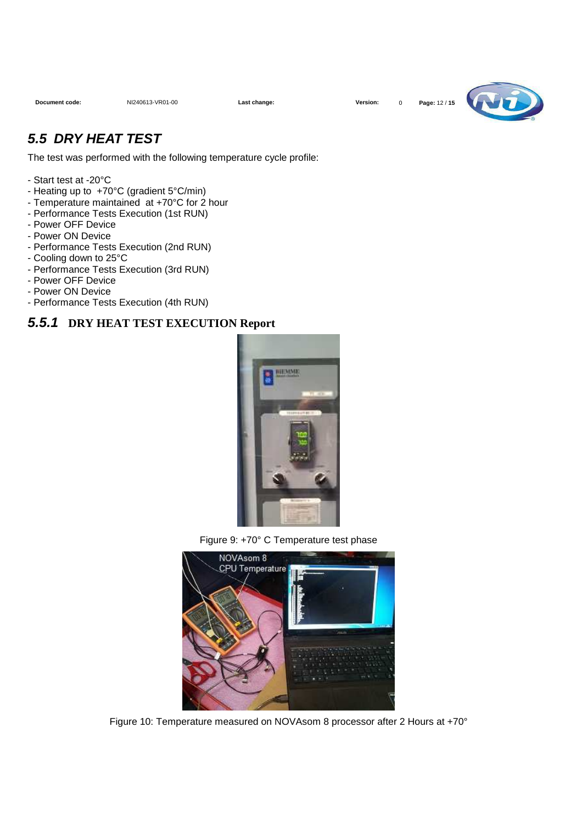

## **5.5 DRY HEAT TEST**

The test was performed with the following temperature cycle profile:

- Start test at -20°C
- Heating up to +70°C (gradient 5°C/min)
- Temperature maintained at +70°C for 2 hour
- Performance Tests Execution (1st RUN)
- Power OFF Device
- Power ON Device
- Performance Tests Execution (2nd RUN)
- Cooling down to 25°C
- Performance Tests Execution (3rd RUN)
- Power OFF Device
- Power ON Device
- Performance Tests Execution (4th RUN)

#### **5.5.1 DRY HEAT TEST EXECUTION Report**







Figure 10: Temperature measured on NOVAsom 8 processor after 2 Hours at +70°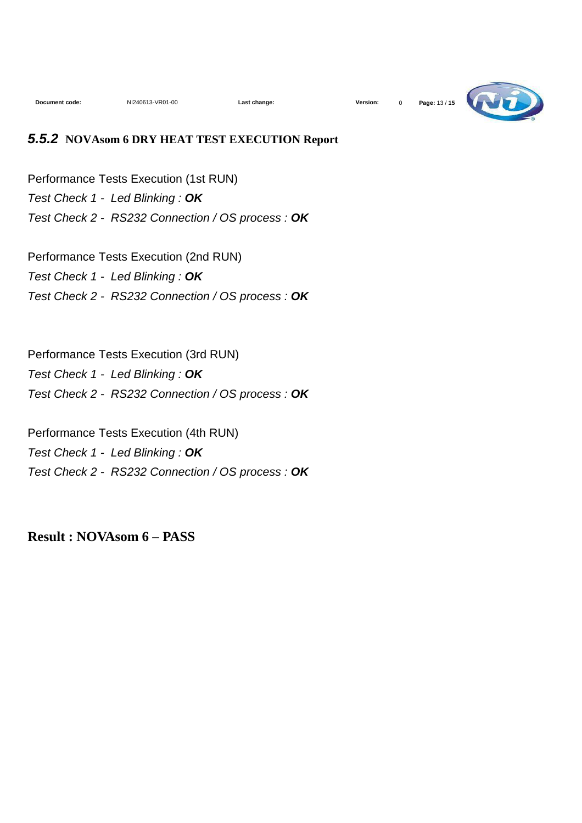

#### **5.5.2 NOVAsom 6 DRY HEAT TEST EXECUTION Report**

Performance Tests Execution (1st RUN) Test Check 1 - Led Blinking : **OK** Test Check 2 - RS232 Connection / OS process : **OK**

Performance Tests Execution (2nd RUN) Test Check 1 - Led Blinking : **OK** Test Check 2 - RS232 Connection / OS process : **OK**

Performance Tests Execution (3rd RUN) Test Check 1 - Led Blinking : **OK** Test Check 2 - RS232 Connection / OS process : **OK**

Performance Tests Execution (4th RUN) Test Check 1 - Led Blinking : **OK** Test Check 2 - RS232 Connection / OS process : **OK**

**Result : NOVAsom 6 – PASS**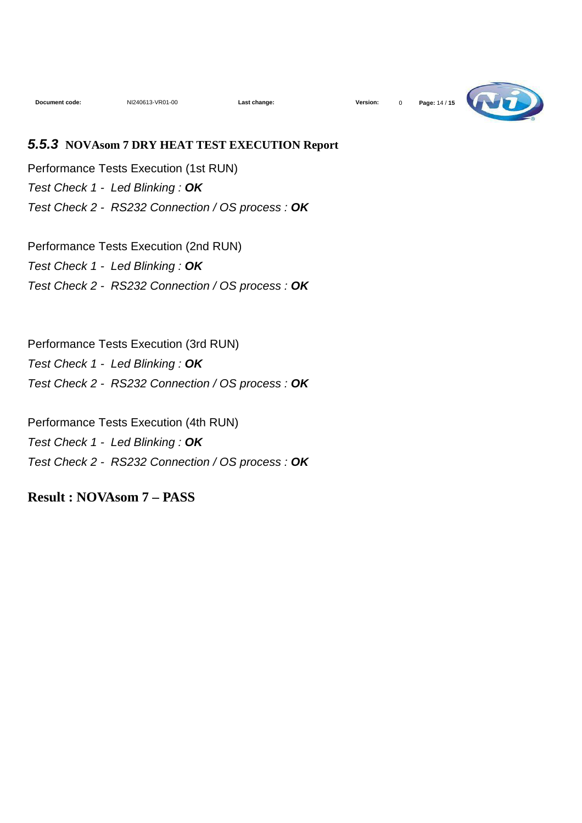

#### **5.5.3 NOVAsom 7 DRY HEAT TEST EXECUTION Report**

Performance Tests Execution (1st RUN) Test Check 1 - Led Blinking : **OK** Test Check 2 - RS232 Connection / OS process : **OK**

Performance Tests Execution (2nd RUN) Test Check 1 - Led Blinking : **OK** Test Check 2 - RS232 Connection / OS process : **OK**

Performance Tests Execution (3rd RUN) Test Check 1 - Led Blinking : **OK** Test Check 2 - RS232 Connection / OS process : **OK**

Performance Tests Execution (4th RUN) Test Check 1 - Led Blinking : **OK** Test Check 2 - RS232 Connection / OS process : **OK**

**Result : NOVAsom 7 – PASS**